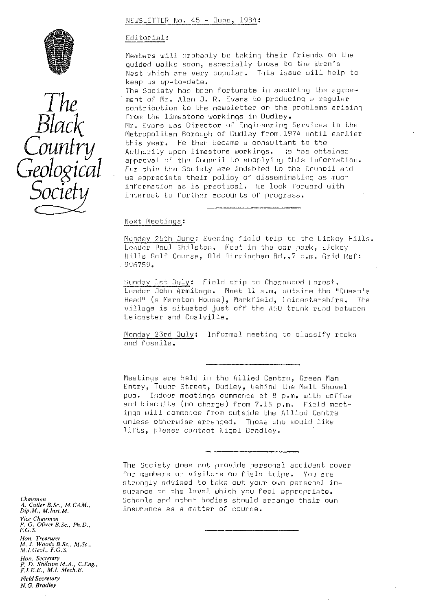### NEWSLETTER No. 45 - June, 1984:





### Editorial:

Members will probably be taking their friends on the quided walks soon, especially those to the Wren's Nest which are very popular. This issue will help to keep us up-to-date.

The Society has been fortunate in securing the agreement of Mr. Alan J. R. Evans to producing a regular contribution to the newsletter *on the* problems arising  $\textit{Black} \qquad \qquad \substack{\text{from the limestone working in Dudley.} \ \textit{Mr. Evans was Director of Engineering} \ \textit{Metropolitan Borough of Dudley from 1999}.}$ Mr. Evans was Director of Engineering Services to the Metropolitan Borough of Dudley from 1974 until earlier<br>this year. He then became a consultant to the *IIII<sup>I</sup>* this year. He than became a consultant to the<br> *IIIIIII* Authority upon limestone workings. He has obtained Black<br>
From the Limestone workings in Dudley.<br>
The Council of the Council of Council and<br>
Country<br>
This year. He then became a consultant to the<br>
Authority upon limestone workings. He has obtained<br>
The Society are indebted *we appreciate* their policy of disseminating as much information as is practical. Me look forward with interest to Further accounts of progress.

### Next Meetings:

Monday 25th June: Evening field trip to the Lickey Hills. Leader Paul Shilston. Meet in the car park, Lickey Hills Golf Course, Old Birmingham Rd., 7 p.m. Grid Ref: 9967519.

Sunday lst July: Field trip to Charnwood Forest. Leader John Armitage. Moet 11 a.m. outside the "Queen's Head" (a Marston House), Markfield, Loicostershire. The village is situated just off the A50 trunk road between Leicester and Coalvilie.

Monday 23rd July: Informal meeting to classify rocks and fossils.

Meetings are held in the Allied Centre, Green Man Entry, Tower Street, Dudley, behind the Malt Shovel pub. Indoor meetings commence at 8 p.m. with coffee and biscuits (no charge) from 7.35 p.m. Field meet- ings will commence from outside the Allied Centre unless otherwise arranged. Those who would like lifts, please contact Nigel Bradley.

The Society does not provide personal accident cover for members or visitors on field trips. You are strongly advised to take out your own personal insurance to the level which you feel appropriate. Schools and other bodies should arrange their own insurance as a matter of course.

*Chairman A. Cueler B..Sc., M.CAM., Dip, M. M. Inst. M. Vice Chairman Y. G. Oliver B.Sc., Ph.D., F.G.S.* Hon. Treasurer *M. I. Woods B.Sc., M.Sc., M. 1. Geol., F.G.S. Non. Secretary P. D. Shilston M.A., C.Eng., I LE.E" M.I. Mech,E. Field Secretary N.G. Bradley*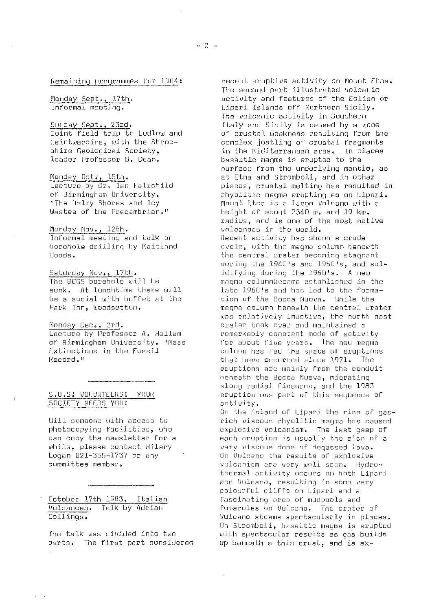Remaining programmes for 1984:

Monday Sept., 17th.<br>Informal mooting.

Sunday Sept., 23rd. Joint field trip to Ludlow and Leintwardine, with the Shropshire Geological Society, leader Professor W. Dean.

Monday Oct., 15th. Lecture by Dr. Ian Fairchild of Birmingham University. "The Rainy Shores and Icy Wastes of the Precambrian."

Monday Nov., 12th. Informal meeting and talk on borehole drilling by (Maitland Woods.

Saturday Nov., 17th. The BCGS borehole will be sunk. At lunchtime there will be a social with buffet at the Park Inn, Wuodsotton.

Monday Dec., 3rd . Lecture by Professor A. Hallam of Birmingham University. "Mass Extinctions in the Fossil Record."

### S.0.S: UQLUNTEERS; YOUR SOCIETY NEEDS YOU!

Will someone with access to photocopying facilities, who can copy the newsletter for a while, please contact Hilary Logan 021-355-1737 or any committee member.

October 17th 1983. Italian Volcanoes. Talk by Adrian Collings.

The talk was divided into two parts. The first pert considered

recent eruptive activity on Mount Etna. The second part illustrated volcanic activity and features of the Eolian or Lipari Islands off Northern Sicily. The volcanic activity in Southern Italy and Sicily is caused by a zone of crustal weakness resulting from the complex jostling of crustal fragments in the Miditerranean area. In places basaltic magma is erupted to the surface from the underlying mantle, as at Etna and Stromboli, and in other places, crustal melting has resulted in rhyolitic magma erupting as on Lipari. Mount Etna is a large Volcano with a height of about 5340 m. and 19 km. radius, and is one of the most active volcanoes in the world. Recent activity has shown a crude cycle, with the magma column beneath the central crater becoming stagnant during the 1940's and 1950's, and solidifying during the 1960's. A new magma columnbecame established in the late 1950's and has led to the formation of the Bocca Nuova. While the magma column beneath the central crater was relatively inactive, the north east crater Look over and maintained a remarkably constant mode of activity for about five years. The new magma column has fed the spate of eruptions<br>that have occurred since 1971. The that have occurred since  $1971.$ eruptions are mainly from the conduit beneath the Bocca Nueva, migrating along radial fissures, and the 1983 eruption was part of this sequence of activity.

On the island of Lipari the rise of gasrich viscous rhyolitic magma has caused explosive volcanism. The last gasp of each eruption is usually the rise of a very viscous dome of degassed lava. On Uulceno the results of explosive volcanism are vary well seen. Hydrothermal activity occurs on both Lipari and Vulcano, resulting in some very colourful cliffs on Lipari and a fascinating area of mudpools and<br>fumaroles on Vulcano. The crater of fumaroles on Vulcano. Vulcano steams spectacularly in places. On Stromboli, basaltic magma is erupted with spectacular results as gas builds up beneath a thin crust, and is ax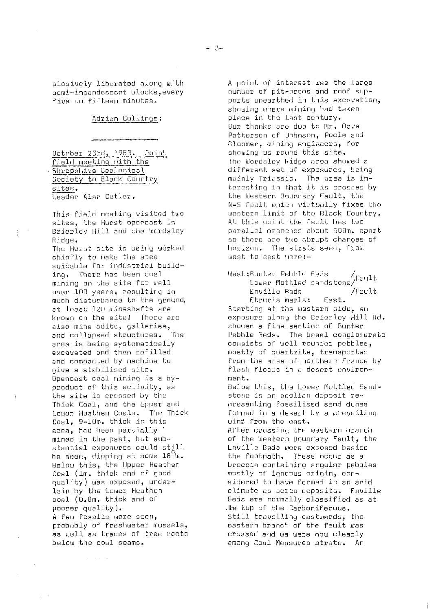plosively liberated along with semi-incandescent blocks ,every five to fifteen minutes.

### Adrian Collings:

October 23rd, 1983. Joint field meeting with the Shropshire Geological Society to Black Country sites . Leader Alan Cutler.

This field meeting visited two sites, the Hurst opencast in Brierley Hill and the Wordsley Ridge.

The Hurst site is being worked chiefly to make the area suitable for industrial building. There has been coal mining on the site for well over 100 years, resulting in much disturbance to the ground, at least 120 mineshafts are known on the site! There are also mine adits, galleries, and collapsed structures. The area is being systematically excavated and then refilled and compacted by machine to give a stabilised site. Opencast coal mining is a byproduct of' this activity, as the site is crossed by the Thick Coal, and the Upper and Lower. Heathen Coals. The Thick Coal, 9--10m, thick in this area, had been partially mined in the past, but suhstantial exposures could still be seen, dipping at some 18"W. Below this, the Upper Heathen Coal (lm. thick and of good quality) was exposed, underlain by the Lower Heathen coal (0.8m. thick and of poorer quality). A few fossils were seen, probably of freshwater mussels, as well as traces of tree roots below the coal seams.

A point of interest was the largo number of pit-props and roof supports unearthed in this excavation, showing where mining had taken place in the last century. Our thanks are due to Mr. Dave Patterson of Oohnson, Poole and Uloomer, mining engineers, for showing us round this site. The Wordsley Ridge area showed a different set of exposures, being mainly Triassic. The area is interesting in that it is crossed by the Western Boundary Fault, the N-S fault which virtually fixes the western limit of the Black Country. At this point the fault has two parallel branches about 500m. apart so there are two abrupt changes of horizon. The strata seen, from west to east were:-

West:bunter Pebble Beds /Fault Lower Mottled sandstone/ Enville Bed /Fault Etruria marls: East. Starting at the western side, an exposure along the Briorley Hill Rd. showed a fine section of Bunter Pebble Beds. The basal conglomerate consists of well rounded pebbles, mostly of quartzite, transported from the area of northern France by flash floods in a desert environment. Below this, the Lower Mottled Sandstone is an aeolian deposit representing fossilised sand dunes Formed in a desert by a prevailing wind from the east. After crossing the western branch of the Western Boundary Fault, the Enville Beds were exposed beside the footpath. These occur as a broccia containing angular pebbles mostly of igneous origin, considered to have formed in an arid climate as scree deposits. Enville Sods are normally classified as at .tte top of the Carboniferous. Still travelling eastwards, the eastern branch of the fault was crossed and we were now clearly among Coal Measures strata. An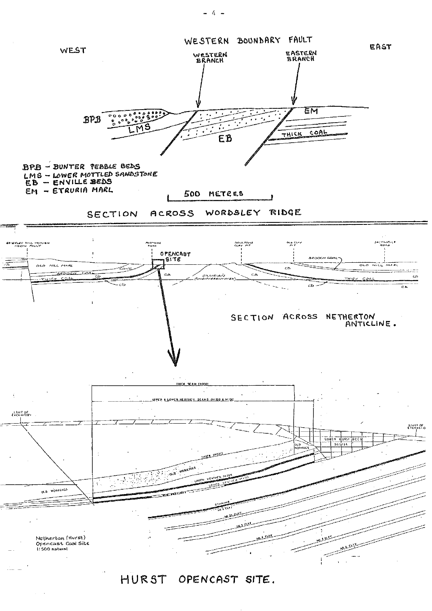

 $- 4 -$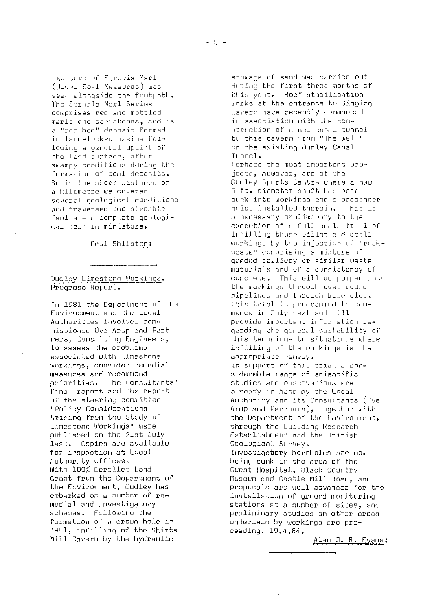marls and sandstones, and is<br>a "red bed" deposit formed the land surface, after<br>swampy conditions during the formation of coal deposits.<br>So in the short distance of

Environment and the Local monce in July next and will<br>Authorities involved com- many provide important informati associated with limestone<br>workings, consider remedial priorities. The Consultants' studies and observations are<br>final report and the report and already in hand by the Local ,<br>final report and the report<br>of the steering committee Limestone Workings" were the through the Building Research<br>
published on the 21st July the Stablishment and the British last. Copies are available<br>for inspection at Local Authority offices.<br>1997 - What we be a being sunk in the area of the With 100% Derelict Land With 100% Derelict Land Guest Hospital, Black Country<br>Grant from the Department of Museum and Castle Mill Road. . 1981, infilling of the Shirts Mill Cavern by the hydraulic and a control of the Alan J. R. Evans:

exposure of Etruria Marl stowage of sand was carried out<br>(Upper Coal Measures) was stowage during the first three months of (Upper Coal Measures) was during the first three months of<br>seen alongside the footpath. this year. Roof stabilisation seen alongside the footpath. this year. Roof stabilisation The Etruria Marl Series which works at the entrance to Singing<br>comprises red and mottled which we cavern have recently commenced Cavern have recently commenced<br>in association with the cona "red bed" deposit formed struction of a new canal tunnel<br>in land-locked basins fol- struction of a new momen "The Well" in land-locked basins fol- to this cavern from "The Well"<br>lowing a general uplift of the existing Dudley Canal on the existing Dudley Canal<br>Tunnel.

Perhaps the most important pro-<br>jacts, however, are at the So in the short distance of the Dudley Sports Centre where a new<br>a kilometre we covered the South State of the diameter shaft has been a kilometre we covered 5 ft. diameter shaft has been several geological conditions sunk into workings and a passenger<br>and traversed two sizeable sunk theist installed therein. This is and traversed two sizeable **hoist installed therein.** This is<br>faults - a complete geologi- **hoist installed the section** faults - a complete geologi- a necessary preliminary to the<br>cal tour in miniature. execution of a full-scale trial of infilling those pillar and stall Paul Shilston: workings by the injection of "rockpaste" comprising a mixture of graded colliery or similar waste materials and of a consistency of Dudley Limestone Workings. concrete. This will be pumped into<br>Progress Report. example: the workings through overground the workings through overground pipelines and through boreholes. In 1981 the Department of the This trial is programmed to com-<br>Environment and the Local state of the mence in July next and will Authorities involved corn-- provide important information re- missioned Ove Arup and Part and garding the general suitability of mers, Consulting Engineers, ners, Consulting Engineers, this technique to situations where<br>to assess the problems the the infilling of the workings is the infilling of the workings is the appropriate remedy. workings, consider remedial in support of this trial a con-<br>measures and recommend in siderable rance of scientific siderable range of scientific<br>studies and observations are of the steering committee Authority and its Consultants (Ove<br>"Policy Considerations Arup and Partners), togethor with "Policy Considerations Arup and Partners), together with<br>Arising from the Study of the Department of the Environment. Arising from the Study of the the Department of the Environment,<br>Limestone Workinds" were the through the Building Research Establishment and the British<br>Geological Survey. for inspection at Local Investigatory boreholes are now Grant from the Department of museum and Castle Mill Road, and<br>the Environment, Dudley has museum proposals are well advanced for t the Environment, Dudley has proposals are well advanced for the embarked on a number of re-<br>medial and investigatory and installations at a number of sites, and medial and investigatory and stations at a number of sites, and schemes. Following the state state prediminary studies on other areas schemes. Following the preliminary studies on other areas underlain by workings are pre-<br>ceeding.  $19.4.84.$ 

 $-5 -$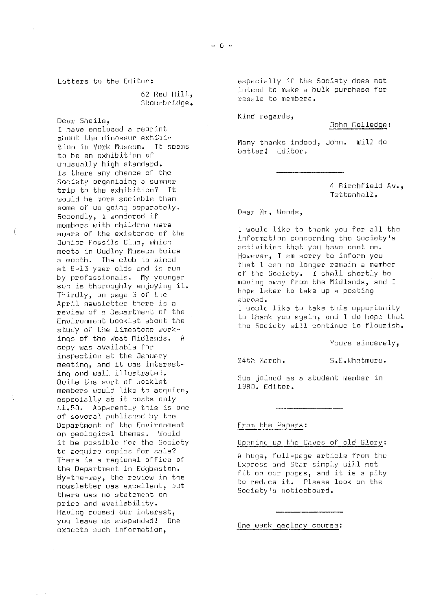62 Red Hill,

Dear. Sheila, I have enclosed a reprint about the dinosaur exhibition in York Museum. It seems to he an exhibition of unusually high standard. Is there any chance of the Society organising a summer trip to the exhibition? It would be more sociable than than than the controll of the controll of  $\mathcal{I}$ some of us going separately. Dear Mr. Woods, Secondly, I wandered if members with children were Junior Fossils Club, which meets in Dudley Museum twice at 8-13 year olds and is run<br>by professionals. My younger son is thoroughly enjoying it. April newsletter there is a<br>review of a Department of the Environment booklet about the<br>study of the limestone workings of the West Midlands. A copy was available for inspection at the January meeting, and it was interest-<br>meeting, and it was interesting and well illustrated.<br>Quite the sort of booklet members would like to acquire, especially as it costs only fl.50. Apparently this is one of several published by the Department of the Environment From the Papers: on geological themes. Would<br>it be possible for the Society to acquire copies for sale? especially as it costs only<br>
fl.50. Apparently this is one<br>
of several published by the<br>
Department of the Environment<br>
on geological themes. Would<br>
it be possible for the Society<br>
to acquire copies for sale?<br>
There is a r the Department in Edgbaston. newsletter was excellent, but there was rno statement an price and availability. Having roused our interest,<br>you leave us suspended! One expects such information,

Letters to the Editor: especially if the Society does not intend to make a bulk purchase for Stourbridge, resale to members.

Kind regards,

John Golledge:

Many thanks indeed, John. Will do better! Editor.

4 Birchfield Av.,<br>Tettenhall.

members with children were<br>aware of the existence of the the about the contract of the all the information concerning the Society's activities that you have sent me.<br>However, I am sorry to inform you a month. The club is aimed<br>hat I can no longer remain a member of the Society. I shall shortly be<br>moving away from the Midlands, and I Son is choroognly enjoying it.<br>Thirdly, on page 3 of the the abroad.

> I would like to take this opportunity to thank you again, and I do hope that the Society will continue to flourish.

> > Yours sincerely,

Sue joined as a student member in<br>1980. Editor.

Opening up the Caves of old Glory:

Express and Star simply will. not By-the-any, the review in the fit on our pages, and it is a pity to reduce it. Please look on the Society's noticeboard.

One week geology course: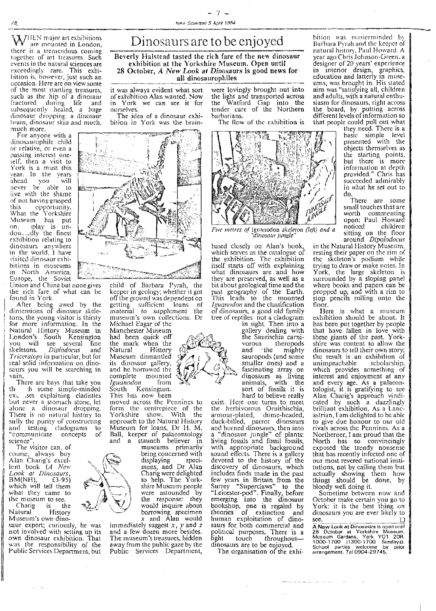*\A* l-<sup>l</sup> E: N major art exhibitions are mounted in London, there is a tremendous coming together of art treasures. Such events in the natural sciences are exceedingly rare. This exhibition is, however, just such an occasion. Here are on view some of the most startling treasures, such as the hip of a dinosaur fractured during life and subsequently healed, a huge dinosaur dropping, a dinosaur hrain, dinosaur skin and much, much more.

For anyone with a dinosaurophile child or relative, or even a passing interest one self, then a visit to York is a must this y ear. In the years ahead you will<br>never be able to **records** live with the shame of not having grasped this opportunity. What the Yorkshire Museum has put on , ;play is undou...., dly the finest exhibition relating to dinosaurs anywhere in the world, I have visited dinosaur exhibitions in museums in North America, Europe, the Soviet

Union and China but none gives the rich fare of what can be found in York.

After being awed by the diniensions of dinosaur skeletons, the young visitor is thirsty for more information, In the Natural Histor<sup>y</sup> Museum in London's South Kensington you will see several fine<br>skeletons. *Diplodocus* and skeletons. *Diplodocus* and Triceratops in particular, but for real solid information on dinosaurs you will be searching in vain.

There are bays that take you th• -h some simple-minded cxx. .scs explaining cladistics but never a stomach stone, le alone a dinosaur dropping, There is no natural history to sully the purity of constructing and testing cladograms to "communicate concepts of science"

The visitor can, of course, always buy Alan Charig's excellent book *(A New Look at Dinosaurs,* BM(NH), £3.95) which will tell them what they came to

the museum to see.<br>Charig is the Charig is the<br>Natural History Natural History Museum's own dino-

saur expert; curiously, he was not involved with setting up its own dinosaur exhibition, That was the responsibility of the Public Services Department, but -7-

## Dinosaurs are to be enjoyed

Beverly Halstead tasted the rich fare of the new dinosaur exhibition at the Yorkshire Museum. Open until 28 October, A New Look at Dinosaurs is good news for all dinosaurophiles

it was always evident what sort of exhibition Alan wanted. Now in York we can see it for ourselves.

The idea of a dinosaur exhibition in York was the brain-



child of Barbara P<sup>y</sup> rah, the keeper in geolog<sup>y</sup> ; whether it got off the ground was dependent on getting sufficient loans of material to supplement the museum's own collections, Dr Michael Eagar of the

Manchester Museum had been quick off the mark when the Natural History Museum dismantled its dinosaur gallery, and he borrowed the complete mounted<br>Iguanodon from *Iguanodon* South Kensington. This has now been

moved across the Pennines to form the centrepiece of the Yorkshire show. With the approach to the Natural History

Museum for loans, Dr H. M. Ball, keeper of palaeontology<br>and a staunch believer in museums primarily being concerned with<br>displaying specidisplaying mens, and Dr Alan Charig were delighted to help. The Yorkshire Museum people were astounded by the response: they would inquire about borrowing specimen x and Alan would

immediately suggest  $x$ ,  $y$  and  $z$ and a few dozen more besides. The museum's treasures, hidden away from the public gaze by the Public Services Department, were lovingly brought out into the light and transported across the Watford Gap into the tender care of the Northern barbarians.

The flow of the exhibition is



Five *metres of* Iguanodon *skeleton (left) and a* 'dinosaur jungle'

based closely on Alan's book, which serves as the catalogue of the exhibition. The exhibition itself starts off with explaining what dinosaurs are and how they are preserved, as well as a bit about geological time and the past geography of the Earth. This leads to the mounted *Iguanodon* and the classification of dinosaurs, a good old family tree of reptiles not a cladogram

in sight. Then into a gallery dealing with the Saurischia carnivorous theropods<br>and the mighty sauropods (and some smaller ones) and a fascinating array on dinosaurs as living animals, with the sort of fossils it is hard to believe really

exist. Here one turns to meet the herbivorous Ornithischia, armour-plated, dome-headed, duck-billed, parrot dinosaurs and horned dinosaurs, then into a "dinosaur jungle" of plants: living fossils and fossil fossils, with appropriate background sound effects. There is a gallery devoted to the history of the discovery of dinosaurs, which includes finds made in the past few years in Britain from the Surrey "Superclaws" to the "Leicester-pod". Finally, before emerging into the dinosaur bookshop, one is regaled by theories of extinction and human exploitation of dinosaurs for, both commercial and political purposes. There is a<br>light touch throughout light touch throughout—

dinosaurs are to be enjoyed. The organisation of the exhi-

bition was masterminded by Barbara Pyrah and the keeper of natural history, Paul Howard. A year ago Chris Johnson-Green. a designer of 20 years' experience in interior design, graphics, education and latterly in museums, was brought in. His stated aim was "satisfying all, children and adults, with a natural enthusiasm for dinosaurs, right across the board, by putting across different levels of information so that people could pull out what

they need. There is a basic simple level presented with the objects themselves as the starting points, but there is more information at depth provided." Chris has succeeded admirably in What he set out to " do.

There are some small touches that are worth commenting upon: Paul Howard<br>noticed children noticed children sitting on the floor around *Dipolodocus*

in the Natural History Museum; resting their paper on the rim of the skeleton's podium while trying to draw or make notes. In York, the large skeleton is surrounded by a sloping panel where books and papers can be propped up, and with a rim to stop pencils rolling onto the floor.

Here is what a museum exhibition should be about. I has been put together by people that have fallen in love with these giants of the past. Yorkshire was content to allow the dinosaurs to tell their own story; the result is an exhibition of unimpeachable scholarship, which provides something of interest and enjoyment at any and every age. As a palaeontologist, it is gratifying to see Alan Charig's approach vindi-cated by such a dazzlingly brilliant exhibition. As a Lancastrian, I am delighted to be able to give due honour to our old rivals across the Pennines. As a Northerner, I am proud that the North has so convincingly exposed the trendy nonsense that has recently infected one of our most revered national institutions, not by calling them but actually showing them how things should be done, by bloody well doing it.

Sometime between now and October make certain you go to York: it is the best thing on dinosaurs you are ever likely to see. sce.<br>A New Look at Dinosaurs is open until

A New Look at Dinosaurs is open until<br>28 October at Yorkshire Museum<br>Museum, Gardens, York Y01 2DR<br>1000-1700 (1300-1700 Sundays).<br>School parties welcome by prior<br>arrangement. Tel 0904-29745.

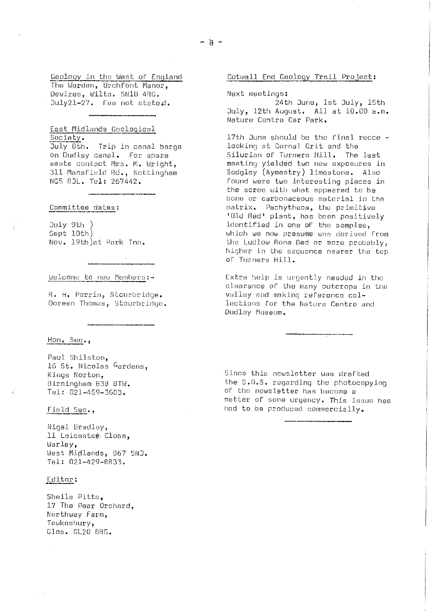Geology in the West of England The Warden, Urchfont Manor, Devizes, Wilts. SN10 4RG. July21-27. Fee not stated.

Last Midlands Geological Society.

Duly 0th. Trip in canal barge on Dudley canal. For spare seats contact Mrs. M. Wright, 311 Mansfield Rd., Nottingham NG5 8JL. Tel: 267442.

Committee dates:

July 9th ) Sept 10th) Nov. 19th)at Park Tnn,

Welcome to new Members:-

N. H. Perrin, Stourbridge. Doreen Thomas, Stourbridge.

 $\sim 10^7$ 

Hon. Scc.,

Paul 5hilston, 16 St. Nicolas Gardens, Kings Norton, Birmingham B38 8TW. Tel: 021-459-3603.

### Field Sec.,

Nigel Bradley, 11 Leicester Close, Warley, West Midlands, 867 5NJ. Tel: 021-429-8833.

### Editor:

Sheila Pitts, 17 The Pear orchard, Northway Farm, Tewkoshury, Glos. GL20 ORG.

### Cotwall End Geology Trail Project:

Next meetings:

24th Juno, 1st July, 15th July, 12th August. All at 10.00 a.m. Nature Centre Car Park.

17th June should be the final recce looking at Gornal Grit and the Silurian of Turners Hill. The last meeting yielded two now exposures in Sedgley (Aymestry) limestone. Also round were two interesting pieces in the scree with what appeared to be hone or carbonaceous material in the matrix. Pachytheca, the primitive 'Old Red' plant, has been positively identified in one of the samples, which we now presume use derived from the Ludlow Bone Bed or more probably, higher in the sequence nearer the top of Turners Hill.

Extra help is urgently needed in the clearance of the many outcrops in the valley and making reference collections for. the Nature Centre and Dudley Museum.

Since this newsletter was drafted the S.O.S. regarding the photocopying of the newsletter has become a matter of some urgency. This issue has had to be produced commercially.